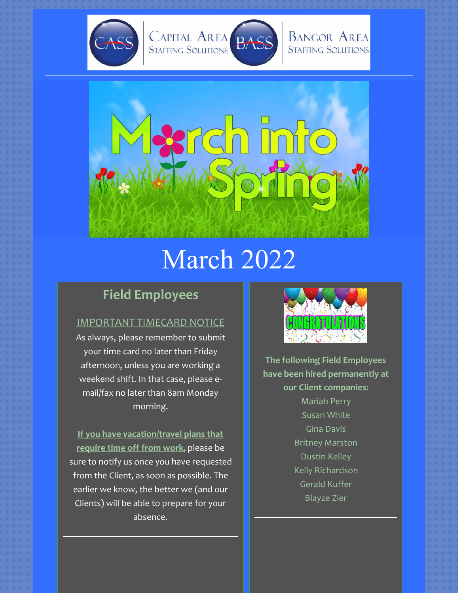



# March 2022

# **Field Employees**

## IMPORTANT TIMECARD NOTICE

As always, please remember to submit your time card no later than Friday afternoon, unless you are working a weekend shift. In that case, please email/fax no later than 8am Monday morning.

**If you have vacation/travel plans that require time off from work,** please be sure to notify us once you have requested from the Client, as soon as possible. The earlier we know, the better we (and our Clients) will be able to prepare for your absence.



**The following Field Employees have been hired permanently at our Client companies:** Mariah Perry Susan White Gina Davis Britney Marston Dustin Kelley Kelly Richardson Gerald Kuffer Blayze Zier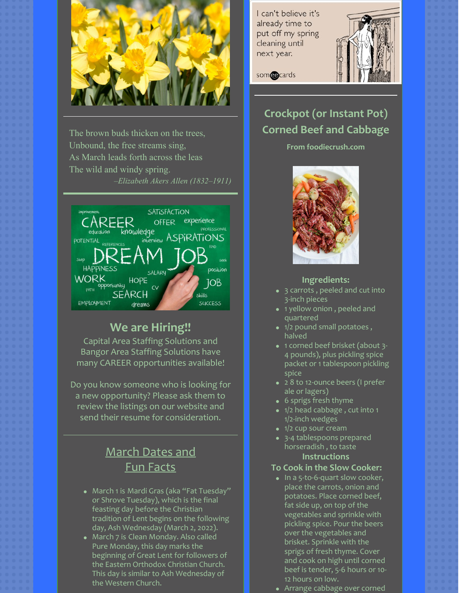

The brown buds thicken on the trees, Unbound, the free streams sing, As March leads forth across the leas The wild and windy spring. *–Elizabeth Akers Allen (1832–1911)*



## **We are Hiring!!**

Capital Area Staffing Solutions and Bangor Area Staffing Solutions have many CAREER opportunities available!

Do you know someone who is looking for a new opportunity? Please ask them to review the listings on our website and send their resume for consideration.

# March Dates and Fun Facts

- March 1 is [Mardi](https://www.almanac.com/content/when-mardi-gras) Gras (aka "Fat Tuesday" or Shrove Tuesday), which is the final feasting day before the Christian tradition of Lent begins on the following day, Ash Wednesday (March 2, 2022).
- March 7 is Clean [Monday](https://www.almanac.com/calendar/date/2022-03-07). Also called Pure Monday, this day marks the beginning of Great Lent for followers of the Eastern Orthodox Christian Church. This day is similar to Ash Wednesday of the Western Church.

I can't believe it's already time to put off my spring cleaning until next year.



somedcards

# **Crockpot (or Instant Pot) Corned Beef and Cabbage**

#### **From foodiecrush.com**



### **Ingredients:**

- 3 carrots , peeled and cut into 3-inch pieces
- 1 yellow onion , peeled and quartered
- 1/2 pound small potatoes, halved
- 1 corned beef brisket (about 3-4 pounds), plus pickling spice packet or 1 tablespoon pickling spice
- 28 to 12-ounce beers (I prefer ale or lagers)
- 6 sprigs fresh thyme
- 1/2 head cabbage, cut into 1 1/2-inch wedges
- $\bullet$  1/2 cup sour cream
- 3-4 tablespoons prepared horseradish , to taste **Instructions**

#### **To Cook in the Slow Cooker:**

- In a 5-to-6-quart slow cooker, place the carrots, onion and potatoes. Place corned beef, fat side up, on top of the vegetables and sprinkle with pickling spice. Pour the beers over the vegetables and brisket. Sprinkle with the sprigs of fresh thyme. Cover and cook on high until corned beef is tender, 5-6 hours or 10- 12 hours on low.
- Arrange cabbage over corned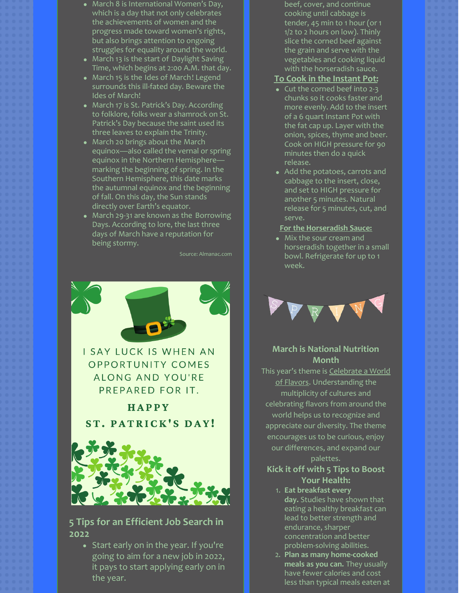- March 8 is International Women's Day, which is a day that not only celebrates the achievements of women and the progress made toward women's rights, but also brings attention to ongoing struggles for equality around the world.
- March 13 is the start of [Daylight](https://www.almanac.com/content/when-daylight-saving-time) Saving Time, which begins at 2:00 A.M. that day.
- [March](https://www.almanac.com/calendar/date/2022-03-15) 15 is the Ides of March! Legend surrounds this ill-fated day. Beware the Ides of March!
- March 17 is St. [Patrick's](https://www.almanac.com/content/st-patricks-day) Day. According to folklore, folks wear a shamrock on St. Patrick's Day because the saint used its three leaves to explain the Trinity.
- March 20 brings about the March [equinox—also](https://www.almanac.com/content/first-day-spring-vernal-equinox) called the vernal or spring equinox in the Northern Hemisphere marking the beginning of spring. In the Southern Hemisphere, this date marks the [autumnal](https://www.almanac.com/content/first-day-fall-autumnal-equinox) equinox and the beginning of fall. On this day, the Sun stands directly over Earth's equator.
- March 29-31 are known as the [Borrowing](https://www.almanac.com/calendar/date/2022-03-29) Days. According to lore, the last three days of March have a reputation for being stormy.

Source: Almanac.com



**I SAY LUCK IS WHEN AN OPPORTUNITY COMES ALONG AND YOU'RE** PREPARED FOR IT.

HAPPY **ST. PATRICK'S DAY!** 



## **5 Tips for an Efficient Job Search in 2022**

• Start early on in the year. If you're going to aim for a new job in 2022, it pays to start applying early on in the year.

beef, cover, and continue cooking until cabbage is tender, 45 min to 1 hour (or 1 1/2 to 2 hours on low). Thinly slice the corned beef against the grain and serve with the vegetables and cooking liquid with the horseradish sauce.

## **To Cook in the Instant Pot:**

- Cut the corned beef into 2-3 chunks so it cooks faster and more evenly. Add to the insert of a 6 quart Instant Pot with the fat cap up. Layer with the onion, spices, thyme and beer. Cook on HIGH pressure for 90 minutes then do a quick release.
- Add the potatoes, carrots and cabbage to the insert, close, and set to HIGH pressure for another 5 minutes. Natural release for 5 minutes, cut, and serve.

#### **For the Horseradish Sauce:**

Mix the sour cream and horseradish together in a small bowl. Refrigerate for up to 1 week.



## **March is National Nutrition Month**

This year's theme is Celebrate a World of Flavors. Understanding the multiplicity of cultures and celebrating flavors from around the world helps us to recognize and appreciate our diversity. The theme encourages us to be curious, enjoy our differences, and expand our

#### palettes.

## **Kick it off with 5 Tips to Boost Your Health:**

- 1. **Eat breakfast every day.** Studies have shown that eating a healthy breakfast can lead to better strength and endurance, sharper concentration and better problem-solving abilities.
- 2. **Plan as many home-cooked meals as you can.** They usually have fewer calories and cost less than typical meals eaten at